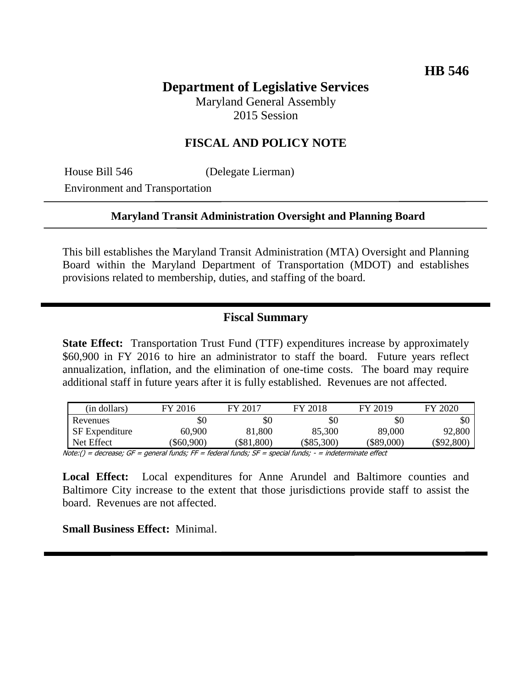# **Department of Legislative Services**

Maryland General Assembly 2015 Session

# **FISCAL AND POLICY NOTE**

House Bill 546 (Delegate Lierman)

Environment and Transportation

#### **Maryland Transit Administration Oversight and Planning Board**

This bill establishes the Maryland Transit Administration (MTA) Oversight and Planning Board within the Maryland Department of Transportation (MDOT) and establishes provisions related to membership, duties, and staffing of the board.

# **Fiscal Summary**

**State Effect:** Transportation Trust Fund (TTF) expenditures increase by approximately \$60,900 in FY 2016 to hire an administrator to staff the board. Future years reflect annualization, inflation, and the elimination of one-time costs. The board may require additional staff in future years after it is fully established. Revenues are not affected.

| (in dollars)          | FY 2016  | FY 2017  | FY 2018      | FY 2019      | FY 2020    |
|-----------------------|----------|----------|--------------|--------------|------------|
| Revenues              | \$0      | \$0      | \$0          | \$0          | \$0        |
| <b>SF</b> Expenditure | 60,900   | 81,800   | 85,300       | 89,000       | 92,800     |
| Net Effect            | \$60,900 | \$81,800 | $(\$85,300)$ | $(\$89,000)$ | (\$92,800) |

Note:() = decrease; GF = general funds; FF = federal funds; SF = special funds; - = indeterminate effect

**Local Effect:** Local expenditures for Anne Arundel and Baltimore counties and Baltimore City increase to the extent that those jurisdictions provide staff to assist the board. Revenues are not affected.

**Small Business Effect:** Minimal.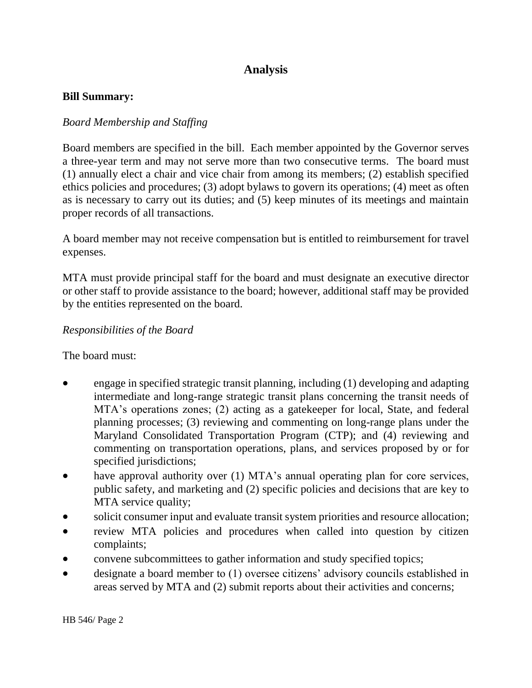# **Analysis**

#### **Bill Summary:**

## *Board Membership and Staffing*

Board members are specified in the bill. Each member appointed by the Governor serves a three-year term and may not serve more than two consecutive terms. The board must (1) annually elect a chair and vice chair from among its members; (2) establish specified ethics policies and procedures; (3) adopt bylaws to govern its operations; (4) meet as often as is necessary to carry out its duties; and (5) keep minutes of its meetings and maintain proper records of all transactions.

A board member may not receive compensation but is entitled to reimbursement for travel expenses.

MTA must provide principal staff for the board and must designate an executive director or other staff to provide assistance to the board; however, additional staff may be provided by the entities represented on the board.

## *Responsibilities of the Board*

The board must:

- engage in specified strategic transit planning, including (1) developing and adapting intermediate and long-range strategic transit plans concerning the transit needs of MTA's operations zones; (2) acting as a gatekeeper for local, State, and federal planning processes; (3) reviewing and commenting on long-range plans under the Maryland Consolidated Transportation Program (CTP); and (4) reviewing and commenting on transportation operations, plans, and services proposed by or for specified jurisdictions;
- have approval authority over (1) MTA's annual operating plan for core services, public safety, and marketing and (2) specific policies and decisions that are key to MTA service quality;
- solicit consumer input and evaluate transit system priorities and resource allocation;
- review MTA policies and procedures when called into question by citizen complaints;
- convene subcommittees to gather information and study specified topics;
- designate a board member to (1) oversee citizens' advisory councils established in areas served by MTA and (2) submit reports about their activities and concerns;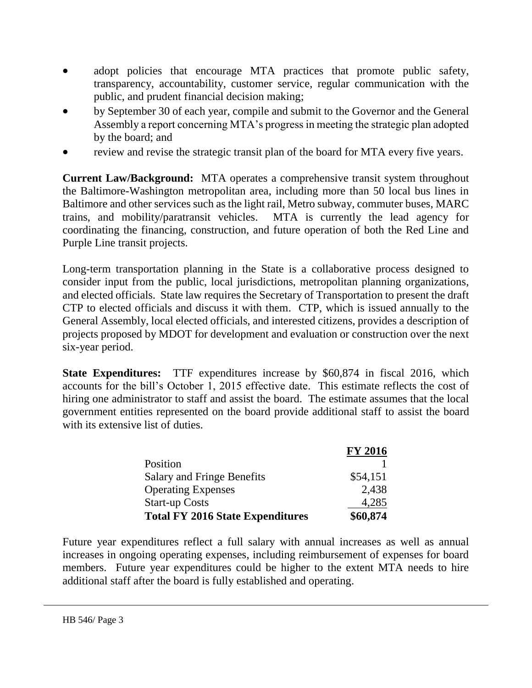- adopt policies that encourage MTA practices that promote public safety, transparency, accountability, customer service, regular communication with the public, and prudent financial decision making;
- by September 30 of each year, compile and submit to the Governor and the General Assembly a report concerning MTA's progress in meeting the strategic plan adopted by the board; and
- review and revise the strategic transit plan of the board for MTA every five years.

**Current Law/Background:** MTA operates a comprehensive transit system throughout the Baltimore-Washington metropolitan area, including more than 50 local bus lines in Baltimore and other services such as the light rail, Metro subway, commuter buses, MARC trains, and mobility/paratransit vehicles. MTA is currently the lead agency for coordinating the financing, construction, and future operation of both the Red Line and Purple Line transit projects.

Long-term transportation planning in the State is a collaborative process designed to consider input from the public, local jurisdictions, metropolitan planning organizations, and elected officials. State law requires the Secretary of Transportation to present the draft CTP to elected officials and discuss it with them. CTP, which is issued annually to the General Assembly, local elected officials, and interested citizens, provides a description of projects proposed by MDOT for development and evaluation or construction over the next six-year period.

**State Expenditures:** TTF expenditures increase by \$60,874 in fiscal 2016, which accounts for the bill's October 1, 2015 effective date. This estimate reflects the cost of hiring one administrator to staff and assist the board. The estimate assumes that the local government entities represented on the board provide additional staff to assist the board with its extensive list of duties.

|                                         | <b>FY 2016</b> |
|-----------------------------------------|----------------|
| Position                                |                |
| <b>Salary and Fringe Benefits</b>       | \$54,151       |
| <b>Operating Expenses</b>               | 2,438          |
| <b>Start-up Costs</b>                   | 4,285          |
| <b>Total FY 2016 State Expenditures</b> | \$60,874       |

Future year expenditures reflect a full salary with annual increases as well as annual increases in ongoing operating expenses, including reimbursement of expenses for board members. Future year expenditures could be higher to the extent MTA needs to hire additional staff after the board is fully established and operating.